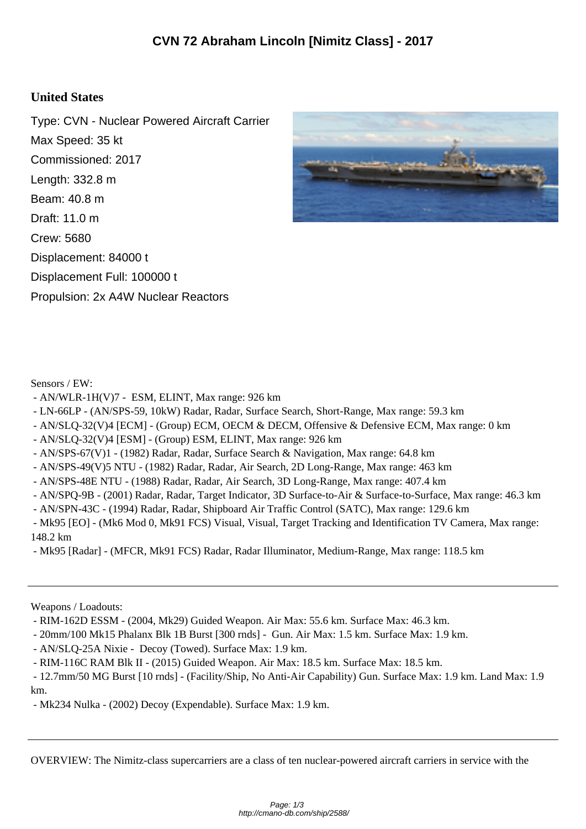## **United States**

Type: CVN - Nuclear Powered Aircraft Carrier Max Speed: 35 kt Commissioned: 2017 Length: 332.8 m Beam: 40.8 m Draft: 11.0 m Crew: 5680 Displacement: 84000 t Displacement Full: 100000 t Propulsion: 2x A4W Nuclear Reactors



Sensors / EW:

- AN/WLR-1H(V)7 ESM, ELINT, Max range: 926 km
- LN-66LP (AN/SPS-59, 10kW) Radar, Radar, Surface Search, Short-Range, Max range: 59.3 km
- AN/SLQ-32(V)4 [ECM] (Group) ECM, OECM & DECM, Offensive & Defensive ECM, Max range: 0 km
- AN/SLQ-32(V)4 [ESM] (Group) ESM, ELINT, Max range: 926 km
- AN/SPS-67(V)1 (1982) Radar, Radar, Surface Search & Navigation, Max range: 64.8 km
- AN/SPS-49(V)5 NTU (1982) Radar, Radar, Air Search, 2D Long-Range, Max range: 463 km
- AN/SPS-48E NTU (1988) Radar, Radar, Air Search, 3D Long-Range, Max range: 407.4 km
- AN/SPQ-9B (2001) Radar, Radar, Target Indicator, 3D Surface-to-Air & Surface-to-Surface, Max range: 46.3 km
- AN/SPN-43C (1994) Radar, Radar, Shipboard Air Traffic Control (SATC), Max range: 129.6 km
- Mk95 [EO] (Mk6 Mod 0, Mk91 FCS) Visual, Visual, Target Tracking and Identification TV Camera, Max range: 148.2 km
- Mk95 [Radar] (MFCR, Mk91 FCS) Radar, Radar Illuminator, Medium-Range, Max range: 118.5 km

Weapons / Loadouts:

- RIM-162D ESSM (2004, Mk29) Guided Weapon. Air Max: 55.6 km. Surface Max: 46.3 km.
- 20mm/100 Mk15 Phalanx Blk 1B Burst [300 rnds] Gun. Air Max: 1.5 km. Surface Max: 1.9 km.
- AN/SLQ-25A Nixie Decoy (Towed). Surface Max: 1.9 km.
- RIM-116C RAM Blk II (2015) Guided Weapon. Air Max: 18.5 km. Surface Max: 18.5 km.
- 12.7mm/50 MG Burst [10 rnds] (Facility/Ship, No Anti-Air Capability) Gun. Surface Max: 1.9 km. Land Max: 1.9 km.

- Mk234 Nulka - (2002) Decoy (Expendable). Surface Max: 1.9 km.

OVERVIEW: The Nimitz-class supercarriers are a class of ten nuclear-powered aircraft carriers in service with the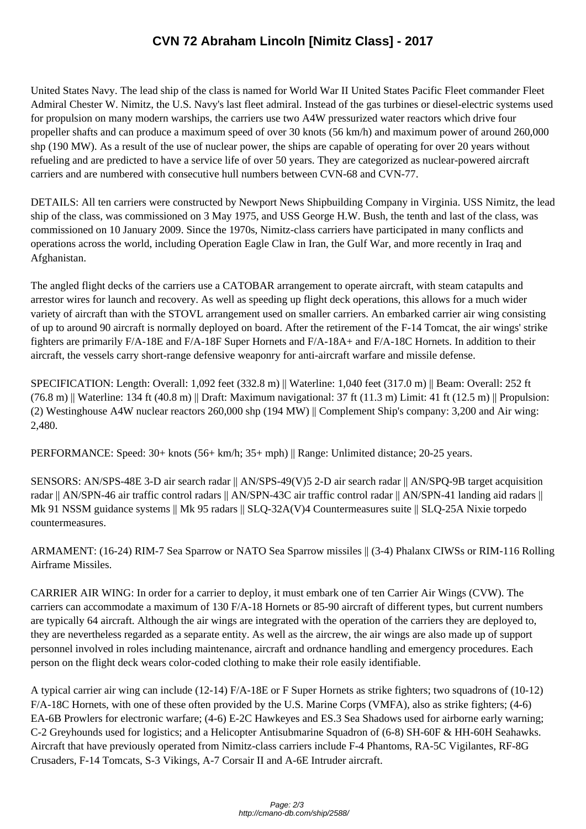United States Navy. The lea[d ship of the class is named for World War II United States Pacif](http://cmano-db.com/ship/2588/)ic Fleet commander Fleet Admiral Chester W. Nimitz, the U.S. Navy's last fleet admiral. Instead of the gas turbines or diesel-electric systems used for propulsion on many modern warships, the carriers use two A4W pressurized water reactors which drive four propeller shafts and can produce a maximum speed of over 30 knots (56 km/h) and maximum power of around 260,000 shp (190 MW). As a result of the use of nuclear power, the ships are capable of operating for over 20 years without refueling and are predicted to have a service life of over 50 years. They are categorized as nuclear-powered aircraft carriers and are numbered with consecutive hull numbers between CVN-68 and CVN-77.

DETAILS: All ten carriers were constructed by Newport News Shipbuilding Company in Virginia. USS Nimitz, the lead ship of the class, was commissioned on 3 May 1975, and USS George H.W. Bush, the tenth and last of the class, was commissioned on 10 January 2009. Since the 1970s, Nimitz-class carriers have participated in many conflicts and operations across the world, including Operation Eagle Claw in Iran, the Gulf War, and more recently in Iraq and Afghanistan.

The angled flight decks of the carriers use a CATOBAR arrangement to operate aircraft, with steam catapults and arrestor wires for launch and recovery. As well as speeding up flight deck operations, this allows for a much wider variety of aircraft than with the STOVL arrangement used on smaller carriers. An embarked carrier air wing consisting of up to around 90 aircraft is normally deployed on board. After the retirement of the F-14 Tomcat, the air wings' strike fighters are primarily F/A-18E and F/A-18F Super Hornets and F/A-18A+ and F/A-18C Hornets. In addition to their aircraft, the vessels carry short-range defensive weaponry for anti-aircraft warfare and missile defense.

SPECIFICATION: Length: Overall: 1,092 feet (332.8 m) || Waterline: 1,040 feet (317.0 m) || Beam: Overall: 252 ft  $(76.8 \text{ m})$  || Waterline: 134 ft (40.8 m) || Draft: Maximum navigational: 37 ft (11.3 m) Limit: 41 ft (12.5 m) || Propulsion: (2) Westinghouse A4W nuclear reactors 260,000 shp (194 MW) || Complement Ship's company: 3,200 and Air wing: 2,480.

PERFORMANCE: Speed: 30+ knots (56+ km/h; 35+ mph) || Range: Unlimited distance; 20-25 years.

SENSORS: AN/SPS-48E 3-D air search radar || AN/SPS-49(V)5 2-D air search radar || AN/SPQ-9B target acquisition radar || AN/SPN-46 air traffic control radars || AN/SPN-43C air traffic control radar || AN/SPN-41 landing aid radars || Mk 91 NSSM guidance systems || Mk 95 radars || SLQ-32A(V)4 Countermeasures suite || SLQ-25A Nixie torpedo countermeasures.

ARMAMENT: (16-24) RIM-7 Sea Sparrow or NATO Sea Sparrow missiles || (3-4) Phalanx CIWSs or RIM-116 Rolling Airframe Missiles.

CARRIER AIR WING: In order for a carrier to deploy, it must embark one of ten Carrier Air Wings (CVW). The carriers can accommodate a maximum of 130 F/A-18 Hornets or 85-90 aircraft of different types, but current numbers are typically 64 aircraft. Although the air wings are integrated with the operation of the carriers they are deployed to, they are nevertheless regarded as a separate entity. As well as the aircrew, the air wings are also made up of support personnel involved in roles including maintenance, aircraft and ordnance handling and emergency procedures. Each person on the flight deck wears color-coded clothing to make their role easily identifiable.

A typical carrier air wing can include (12-14) F/A-18E or F Super Hornets as strike fighters; two squadrons of (10-12) F/A-18C Hornets, with one of these often provided by the U.S. Marine Corps (VMFA), also as strike fighters; (4-6) EA-6B Prowlers for electronic warfare; (4-6) E-2C Hawkeyes and ES.3 Sea Shadows used for airborne early warning; C-2 Greyhounds used for logistics; and a Helicopter Antisubmarine Squadron of (6-8) SH-60F & HH-60H Seahawks. Aircraft that have previously operated from Nimitz-class carriers include F-4 Phantoms, RA-5C Vigilantes, RF-8G Crusaders, F-14 Tomcats, S-3 Vikings, A-7 Corsair II and A-6E Intruder aircraft.